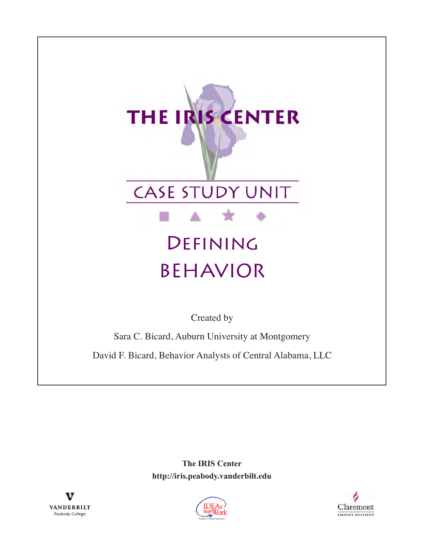# THE IRIS CENTER



# Defining BEHAVIOR

Created by

Sara C. Bicard, Auburn University at Montgomery

David F. Bicard, Behavior Analysts of Central Alabama, LLC

**The IRIS Center http://iris.peabody.vanderbilt.edu**





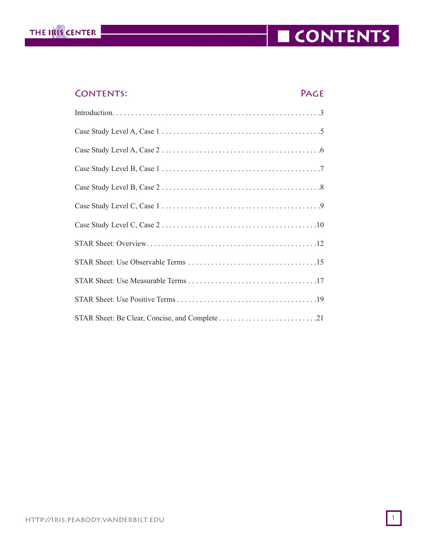

## CONTENTS

#### CONTENTS: PAGE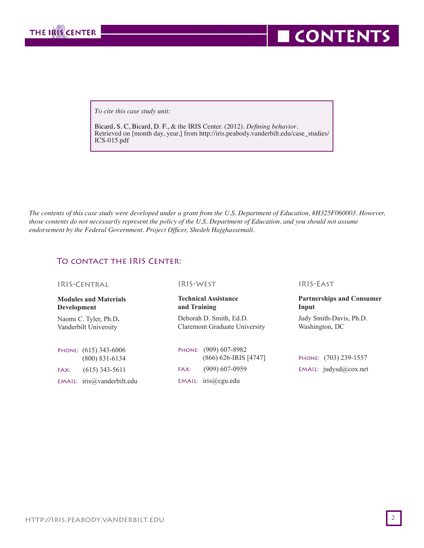

**CONTENTS** 

 *To cite this case study unit:*

Bicard, S. C, Bicard, D. F., & the IRIS Center. (2012). *Defining behavior*. Retrieved on [month day, year,] from http://iris.peabody.vanderbilt.edu/case\_studies/ ICS-015.pdf

*The contents of this case study were developed under a grant from the U.S. Department of Education, #H325F060003. However, those contents do not necessarily represent the policy of the U.S. Department of Education, and you should not assume endorsement by the Federal Government. Project Officer, Shedeh Hajghassemali.*

#### To contact the IRIS Center:

IRIS-Central

**Modules and Materials Development**

Naomi C. Tyler, Ph.D**.** Vanderbilt University

Phone: (615) 343-6006 (800) 831-6134 FAX: (615) 343-5611 EMAIL: iris@vanderbilt.edu IRIS-West

#### **Technical Assistance and Training**

Deborah D. Smith, Ed.D. Claremont Graduate University

Phone: (909) 607-8982 (866) 626-IRIS [4747] FAX: (909) 607-0959 EMAIL: iris@cgu.edu

IRIS-East

#### **Partnerships and Consumer Input**

Judy Smith-Davis, Ph.D. Washington, DC

Phone: (703) 239-1557 EMAIL: judysd@cox.net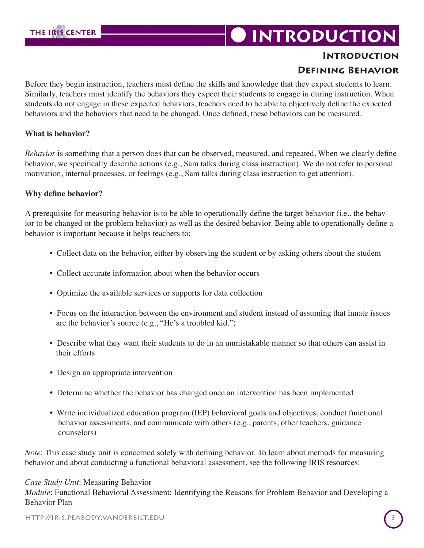## **DINTRODUCTION**

#### **Introduction Defining Behavior**

Before they begin instruction, teachers must define the skills and knowledge that they expect students to learn. Similarly, teachers must identify the behaviors they expect their students to engage in during instruction. When students do not engage in these expected behaviors, teachers need to be able to objectively define the expected behaviors and the behaviors that need to be changed. Once defined, these behaviors can be measured.

#### **What is behavior?**

*Behavior* is something that a person does that can be observed, measured, and repeated. When we clearly define behavior, we specifically describe actions (e.g., Sam talks during class instruction). We do not refer to personal motivation, internal processes, or feelings (e.g., Sam talks during class instruction to get attention).

#### **Why define behavior?**

A prerequisite for measuring behavior is to be able to operationally define the target behavior (i.e., the behavior to be changed or the problem behavior) as well as the desired behavior. Being able to operationally define a behavior is important because it helps teachers to:

- Collect data on the behavior, either by observing the student or by asking others about the student
- Collect accurate information about when the behavior occurs
- Optimize the available services or supports for data collection
- Focus on the interaction between the environment and student instead of assuming that innate issues are the behavior's source (e.g., "He's a troubled kid.")
- Describe what they want their students to do in an unmistakable manner so that others can assist in their efforts
- Design an appropriate intervention
- Determine whether the behavior has changed once an intervention has been implemented
- Write individualized education program (IEP) behavioral goals and objectives, conduct functional behavior assessments, and communicate with others (e.g., parents, other teachers, guidance counselors)

*Note*: This case study unit is concerned solely with defining behavior. To learn about methods for measuring behavior and about conducting a functional behavioral assessment, see the following IRIS resources:

#### *Case Study Unit*: Measuring Behavior

*Module*: Functional Behavioral Assessment: Identifying the Reasons for Problem Behavior and Developing a Behavior Plan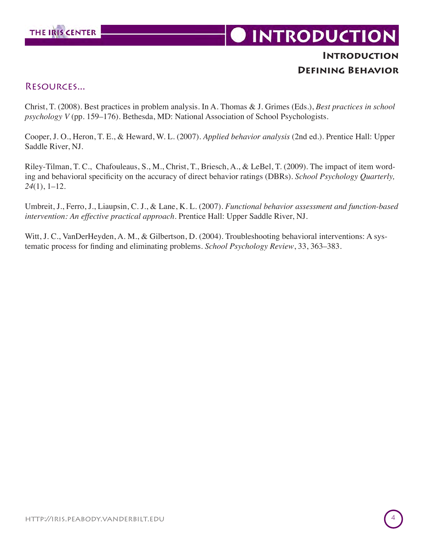

## **INTRODUCTION**

#### **Introduction Defining Behavior**

#### Resources...

Christ, T. (2008). Best practices in problem analysis. In A. Thomas & J. Grimes (Eds.), *Best practices in school psychology V* (pp. 159–176). Bethesda, MD: National Association of School Psychologists.

Cooper, J. O., Heron, T. E., & Heward, W. L. (2007). *Applied behavior analysis* (2nd ed.). Prentice Hall: Upper Saddle River, NJ.

Riley-Tilman, T. C., Chafouleaus, S., M., Christ, T., Briesch, A., & LeBel, T. (2009). The impact of item wording and behavioral specificity on the accuracy of direct behavior ratings (DBRs). *School Psychology Quarterly, 24*(1), 1–12.

Umbreit, J., Ferro, J., Liaupsin, C. J., & Lane, K. L. (2007). *Functional behavior assessment and function-based intervention: An effective practical approach*. Prentice Hall: Upper Saddle River, NJ.

Witt, J. C., VanDerHeyden, A. M., & Gilbertson, D. (2004). Troubleshooting behavioral interventions: A systematic process for finding and eliminating problems. *School Psychology Review*, 33, 363–383.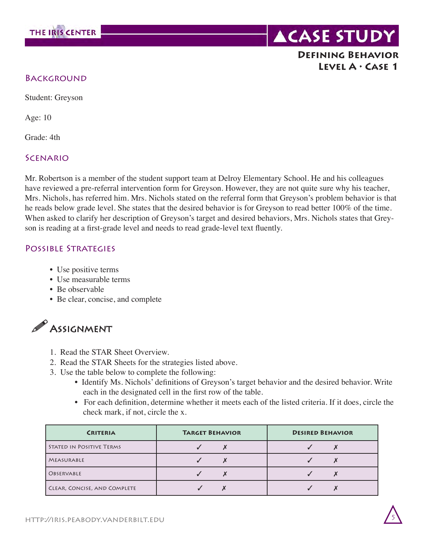

#### **Defining Behavior Level A • Case 1**

#### **BACKGROUND**

Student: Greyson

Age: 10

Grade: 4th

#### **SCENARIO**

Mr. Robertson is a member of the student support team at Delroy Elementary School. He and his colleagues have reviewed a pre-referral intervention form for Greyson. However, they are not quite sure why his teacher, Mrs. Nichols, has referred him. Mrs. Nichols stated on the referral form that Greyson's problem behavior is that he reads below grade level. She states that the desired behavior is for Greyson to read better 100% of the time. When asked to clarify her description of Greyson's target and desired behaviors, Mrs. Nichols states that Greyson is reading at a first-grade level and needs to read grade-level text fluently.

#### POSSIBLE STRATEGIES

- Use positive terms
- Use measurable terms
- Be observable
- Be clear, concise, and complete



- 1. Read the STAR Sheet Overview.
- 2. Read the STAR Sheets for the strategies listed above.
- 3. Use the table below to complete the following:
	- Identify Ms. Nichols' definitions of Greyson's target behavior and the desired behavior. Write each in the designated cell in the first row of the table.
	- For each definition, determine whether it meets each of the listed criteria. If it does, circle the check mark, if not, circle the x.

| <b>CRITERIA</b>              | <b>TARGET BEHAVIOR</b> | <b>DESIRED BEHAVIOR</b> |
|------------------------------|------------------------|-------------------------|
| STATED IN POSITIVE TERMS     |                        |                         |
| MEASURABLE                   |                        |                         |
| OBSERVABLE                   |                        |                         |
| CLEAR, CONCISE, AND COMPLETE |                        |                         |

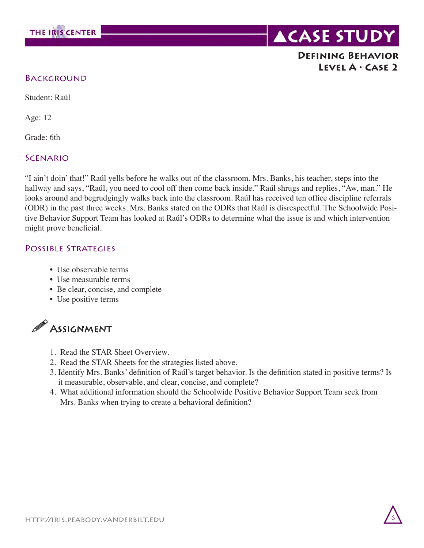

#### **Defining Behavior Level A • Case 2**

#### **BACKGROUND**

Student: Raúl

Age: 12

Grade: 6th

#### **SCENARIO**

"I ain't doin' that!" Raúl yells before he walks out of the classroom. Mrs. Banks, his teacher, steps into the hallway and says, "Raúl, you need to cool off then come back inside." Raúl shrugs and replies, "Aw, man." He looks around and begrudgingly walks back into the classroom. Raúl has received ten office discipline referrals (ODR) in the past three weeks. Mrs. Banks stated on the ODRs that Raúl is disrespectful. The Schoolwide Positive Behavior Support Team has looked at Raúl's ODRs to determine what the issue is and which intervention might prove beneficial.

#### POSSIBLE STRATEGIES

- Use observable terms
- Use measurable terms
- Be clear, concise, and complete
- Use positive terms



- 1. Read the STAR Sheet Overview.
- 2. Read the STAR Sheets for the strategies listed above.
- 3. Identify Mrs. Banks' definition of Raúl's target behavior. Is the definition stated in positive terms? Is it measurable, observable, and clear, concise, and complete?
- 4. What additional information should the Schoolwide Positive Behavior Support Team seek from Mrs. Banks when trying to create a behavioral definition?

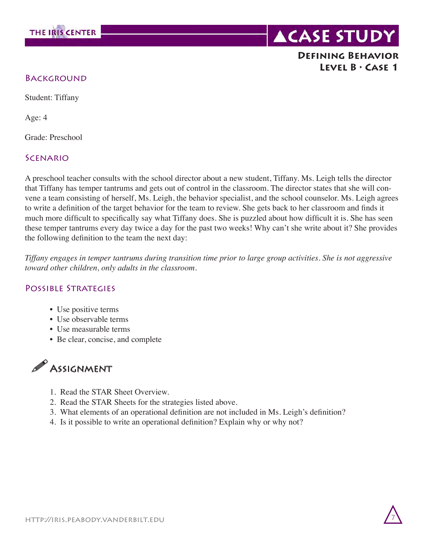



#### **Defining Behavior Level B • Case 1**

#### **BACKGROUND**

Student: Tiffany

Age: 4

Grade: Preschool

#### **SCENARIO**

A preschool teacher consults with the school director about a new student, Tiffany. Ms. Leigh tells the director that Tiffany has temper tantrums and gets out of control in the classroom. The director states that she will convene a team consisting of herself, Ms. Leigh, the behavior specialist, and the school counselor. Ms. Leigh agrees to write a definition of the target behavior for the team to review. She gets back to her classroom and finds it much more difficult to specifically say what Tiffany does. She is puzzled about how difficult it is. She has seen these temper tantrums every day twice a day for the past two weeks! Why can't she write about it? She provides the following definition to the team the next day:

*Tiffany engages in temper tantrums during transition time prior to large group activities. She is not aggressive toward other children, only adults in the classroom.*

#### POSSIBLE STRATEGIES

- Use positive terms
- Use observable terms
- Use measurable terms
- Be clear, concise, and complete



- 1. Read the STAR Sheet Overview.
- 2. Read the STAR Sheets for the strategies listed above.
- 3. What elements of an operational definition are not included in Ms. Leigh's definition?
- 4. Is it possible to write an operational definition? Explain why or why not?

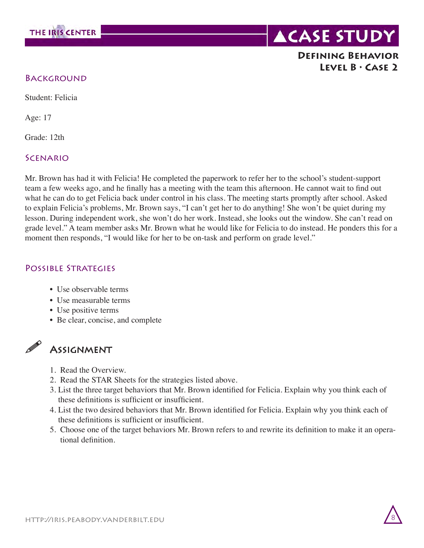

#### **Defining Behavior Level B • Case 2**

#### **BACKGROUND**

Student: Felicia

Age: 17

Grade: 12th

#### **SCENARIO**

Mr. Brown has had it with Felicia! He completed the paperwork to refer her to the school's student-support team a few weeks ago, and he finally has a meeting with the team this afternoon. He cannot wait to find out what he can do to get Felicia back under control in his class. The meeting starts promptly after school. Asked to explain Felicia's problems, Mr. Brown says, "I can't get her to do anything! She won't be quiet during my lesson. During independent work, she won't do her work. Instead, she looks out the window. She can't read on grade level." A team member asks Mr. Brown what he would like for Felicia to do instead. He ponders this for a moment then responds, "I would like for her to be on-task and perform on grade level."

#### POSSIBLE STRATEGIES

- Use observable terms
- Use measurable terms
- Use positive terms
- Be clear, concise, and complete

#### **ASSIGNMENT**

- 1. Read the Overview.
- 2. Read the STAR Sheets for the strategies listed above.
- 3. List the three target behaviors that Mr. Brown identified for Felicia. Explain why you think each of these definitions is sufficient or insufficient.
- 4. List the two desired behaviors that Mr. Brown identified for Felicia. Explain why you think each of these definitions is sufficient or insufficient.
- 5. Choose one of the target behaviors Mr. Brown refers to and rewrite its definition to make it an opera tional definition.

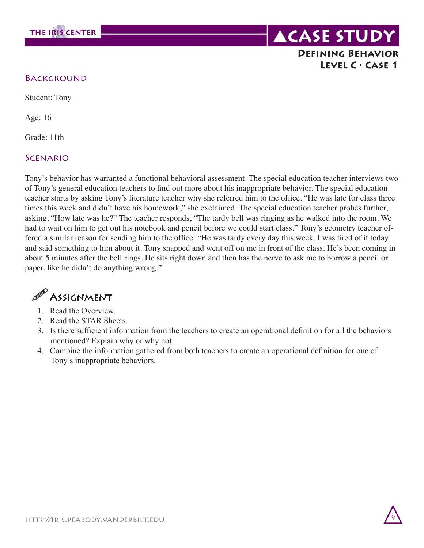

#### **ACASE STUDY Defining Behavior Level C • Case 1**

#### **BACKGROUND**

Student: Tony

Age: 16

Grade: 11th

#### **SCENARIO**

Tony's behavior has warranted a functional behavioral assessment. The special education teacher interviews two of Tony's general education teachers to find out more about his inappropriate behavior. The special education teacher starts by asking Tony's literature teacher why she referred him to the office. "He was late for class three times this week and didn't have his homework," she exclaimed. The special education teacher probes further, asking, "How late was he?" The teacher responds, "The tardy bell was ringing as he walked into the room. We had to wait on him to get out his notebook and pencil before we could start class." Tony's geometry teacher offered a similar reason for sending him to the office: "He was tardy every day this week. I was tired of it today and said something to him about it. Tony snapped and went off on me in front of the class. He's been coming in about 5 minutes after the bell rings. He sits right down and then has the nerve to ask me to borrow a pencil or paper, like he didn't do anything wrong."

## $\mathscr P$  Assignment

- 1. Read the Overview.
- 2. Read the STAR Sheets.
- 3. Is there sufficient information from the teachers to create an operational definition for all the behaviors mentioned? Explain why or why not.
- 4. Combine the information gathered from both teachers to create an operational definition for one of Tony's inappropriate behaviors.

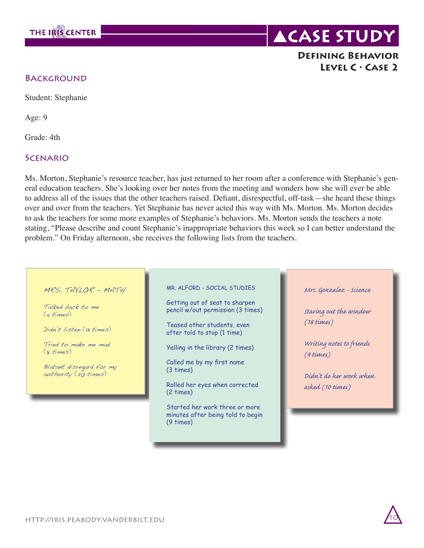

#### **Defining Behavior Level C • Case 2**

#### **BACKGROUND**

Student: Stephanie

Age: 9

Grade: 4th

#### **SCENARIO**

Ms. Morton, Stephanie's resource teacher, has just returned to her room after a conference with Stephanie's general education teachers. She's looking over her notes from the meeting and wonders how she will ever be able to address all of the issues that the other teachers raised. Defiant, disrespectful, off-task—she heard these things over and over from the teachers. Yet Stephanie has never acted this way with Ms. Morton. Ms. Morton decides to ask the teachers for some more examples of Stephanie's behaviors. Ms. Morton sends the teachers a note stating, "Please describe and count Stephanie's inappropriate behaviors this week so I can better understand the problem." On Friday afternoon, she receives the following lists from the teachers.

#### MRS. TAYLOR - MATH

Talked back to me (4 times)

Didn't listen (13 times)

Tried to make me mad (8 times)

Blatant disregard for my authority (20 times)

MR. ALFORD - SOCIAL STUDIES

Getting out of seat to sharpen pencil w/out permission (3 times)

Teased other students, even after told to stop (1 time)

Yelling in the library (2 times)

Called me by my first name (3 times)

Rolled her eyes when corrected (2 times)

Started her work three or more minutes after being told to begin (9 times)

*Mrs. Gonzalez - Science*

*Staring out the window (18 times)*

*Writing notes to friends (4 times)*

*Didn't do her work when asked (10 times)*

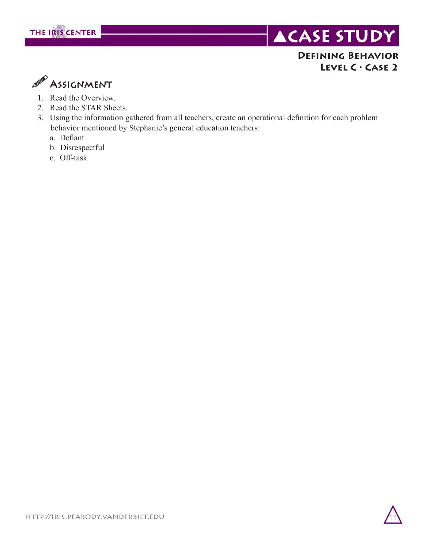

#### **Defining Behavior Level C • Case 2**



- 1. Read the Overview.
- 2. Read the STAR Sheets.
- 3. Using the information gathered from all teachers, create an operational definition for each problem behavior mentioned by Stephanie's general education teachers:
	- a. Defiant
	- b. Disrespectful
	- c. Off-task

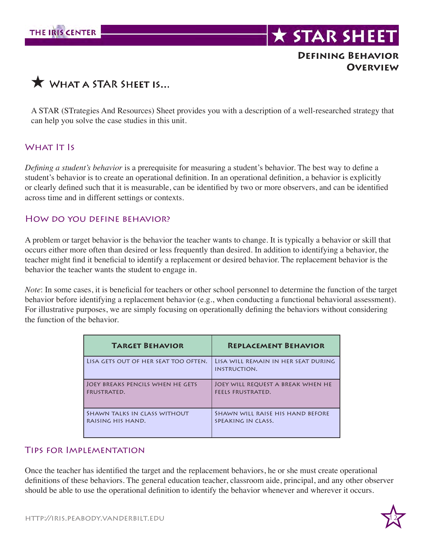

#### **Defining Behavior Overview**



A STAR (STrategies And Resources) Sheet provides you with a description of a well-researched strategy that can help you solve the case studies in this unit.

#### WHAT **IT IS**

*Defining a student's behavior* is a prerequisite for measuring a student's behavior. The best way to define a student's behavior is to create an operational definition. In an operational definition, a behavior is explicitly or clearly defined such that it is measurable, can be identified by two or more observers, and can be identified across time and in different settings or contexts.

#### How do you define behavior?

A problem or target behavior is the behavior the teacher wants to change. It is typically a behavior or skill that occurs either more often than desired or less frequently than desired. In addition to identifying a behavior, the teacher might find it beneficial to identify a replacement or desired behavior. The replacement behavior is the behavior the teacher wants the student to engage in.

*Note*: In some cases, it is beneficial for teachers or other school personnel to determine the function of the target behavior before identifying a replacement behavior (e.g., when conducting a functional behavioral assessment). For illustrative purposes, we are simply focusing on operationally defining the behaviors without considering the function of the behavior.

| <b>TARGET BEHAVIOR</b>               | <b>REPLACEMENT BEHAVIOR</b>                                |
|--------------------------------------|------------------------------------------------------------|
| LISA GETS OUT OF HER SEAT TOO OFTEN. | LISA WILL REMAIN IN HER SEAT DURING<br><b>INSTRUCTION.</b> |
| JOEY BREAKS PENCILS WHEN HE GETS     | JOEY WILL REQUEST A BREAK WHEN HE                          |
| <b>FRUSTRATED.</b>                   | <b>FEELS FRUSTRATED.</b>                                   |
| SHAWN TALKS IN CLASS WITHOUT         | SHAWN WILL RAISE HIS HAND BEFORE                           |
| RAISING HIS HAND.                    | SPEAKING IN CLASS.                                         |

#### Tips for Implementation

Once the teacher has identified the target and the replacement behaviors, he or she must create operational definitions of these behaviors. The general education teacher, classroom aide, principal, and any other observer should be able to use the operational definition to identify the behavior whenever and wherever it occurs.

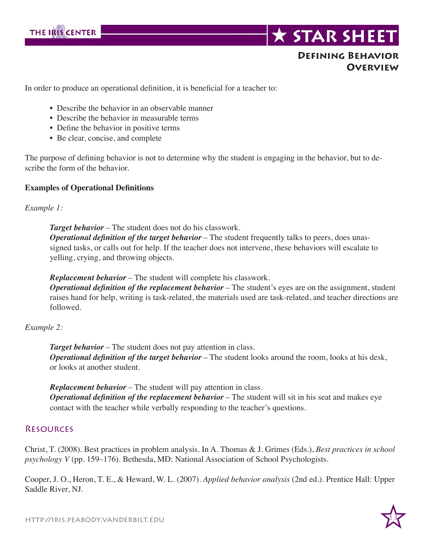

#### **Defining Behavior Overview**

In order to produce an operational definition, it is beneficial for a teacher to:

- Describe the behavior in an observable manner
- Describe the behavior in measurable terms
- Define the behavior in positive terms
- Be clear, concise, and complete

The purpose of defining behavior is not to determine why the student is engaging in the behavior, but to describe the form of the behavior.

#### **Examples of Operational Definitions**

#### *Example 1:*

*Target behavior* – The student does not do his classwork.  *Operational definition of the target behavior* – The student frequently talks to peers, does unassigned tasks, or calls out for help. If the teacher does not intervene, these behaviors will escalate to yelling, crying, and throwing objects.

*Replacement behavior* – The student will complete his classwork.  *Operational definition of the replacement behavior* – The student's eyes are on the assignment, student raises hand for help, writing is task-related, the materials used are task-related, and teacher directions are followed.

#### *Example 2:*

*Target behavior* – The student does not pay attention in class. *Operational definition of the target behavior* – The student looks around the room, looks at his desk, or looks at another student.

*Replacement behavior* – The student will pay attention in class. *Operational definition of the replacement behavior* – The student will sit in his seat and makes eye contact with the teacher while verbally responding to the teacher's questions.

#### **RESOURCES**

Christ, T. (2008). Best practices in problem analysis. In A. Thomas & J. Grimes (Eds.), *Best practices in school psychology V* (pp. 159–176). Bethesda, MD: National Association of School Psychologists.

Cooper, J. O., Heron, T. E., & Heward, W. L. (2007). *Applied behavior analysis* (2nd ed.). Prentice Hall: Upper Saddle River, NJ.

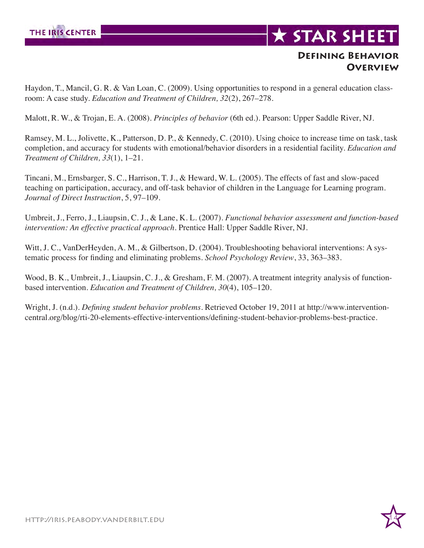

#### **Defining Behavior Overview**

Haydon, T., Mancil, G. R. & Van Loan, C. (2009). Using opportunities to respond in a general education classroom: A case study. *Education and Treatment of Children, 32*(2), 267–278.

Malott, R. W., & Trojan, E. A. (2008). *Principles of behavior* (6th ed.). Pearson: Upper Saddle River, NJ.

Ramsey, M. L., Jolivette, K., Patterson, D. P., & Kennedy, C. (2010). Using choice to increase time on task, task completion, and accuracy for students with emotional/behavior disorders in a residential facility. *Education and Treatment of Children, 33*(1), 1–21.

Tincani, M., Ernsbarger, S. C., Harrison, T. J., & Heward, W. L. (2005). The effects of fast and slow-paced teaching on participation, accuracy, and off-task behavior of children in the Language for Learning program. *Journal of Direct Instruction*, 5, 97–109.

Umbreit, J., Ferro, J., Liaupsin, C. J., & Lane, K. L. (2007). *Functional behavior assessment and function-based intervention: An effective practical approach*. Prentice Hall: Upper Saddle River, NJ.

Witt, J. C., VanDerHeyden, A. M., & Gilbertson, D. (2004). Troubleshooting behavioral interventions: A systematic process for finding and eliminating problems. *School Psychology Review*, 33, 363–383.

Wood, B. K., Umbreit, J., Liaupsin, C. J., & Gresham, F. M. (2007). A treatment integrity analysis of functionbased intervention. *Education and Treatment of Children, 30*(4), 105–120.

Wright, J. (n.d.). *Defining student behavior problems*. Retrieved October 19, 2011 at http://www.interventioncentral.org/blog/rti-20-elements-effective-interventions/defining-student-behavior-problems-best-practice.

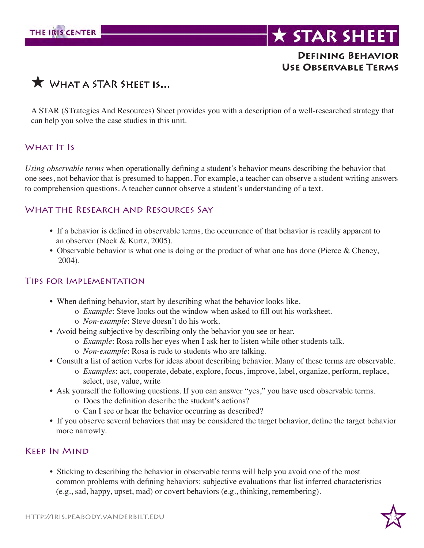

#### **Defining Behavior Use Observable Terms**

## $\bigstar$  WHAT A STAR SHEET IS...

A STAR (STrategies And Resources) Sheet provides you with a description of a well-researched strategy that can help you solve the case studies in this unit.

#### WHAT **IT IS**

*Using observable terms* when operationally defining a student's behavior means describing the behavior that one sees, not behavior that is presumed to happen. For example, a teacher can observe a student writing answers to comprehension questions. A teacher cannot observe a student's understanding of a text.

#### WHAT THE RESEARCH AND RESOURCES SAY

- If a behavior is defined in observable terms, the occurrence of that behavior is readily apparent to an observer (Nock & Kurtz, 2005).
- Observable behavior is what one is doing or the product of what one has done (Pierce & Cheney, 2004).

#### Tips for Implementation

- When defining behavior, start by describing what the behavior looks like.
	- o *Example*: Steve looks out the window when asked to fill out his worksheet.
	- o *Non-example*: Steve doesn't do his work.
- Avoid being subjective by describing only the behavior you see or hear.
	- o *Example*: Rosa rolls her eyes when I ask her to listen while other students talk.
	- o *Non-example*: Rosa is rude to students who are talking.
- Consult a list of action verbs for ideas about describing behavior. Many of these terms are observable.
	- o *Examples*: act, cooperate, debate, explore, focus, improve, label, organize, perform, replace, select, use, value, write
- Ask yourself the following questions. If you can answer "yes," you have used observable terms.
	- o Does the definition describe the student's actions?
	- o Can I see or hear the behavior occurring as described?
- If you observe several behaviors that may be considered the target behavior, define the target behavior more narrowly.

#### Keep In Mind

• Sticking to describing the behavior in observable terms will help you avoid one of the most common problems with defining behaviors: subjective evaluations that list inferred characteristics (e.g., sad, happy, upset, mad) or covert behaviors (e.g., thinking, remembering).

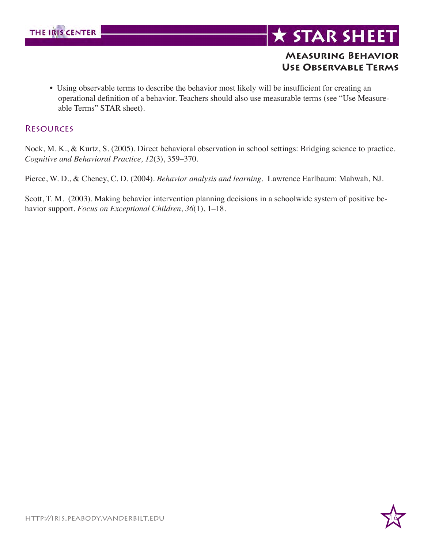

## **\* STAR SHEET**

#### **Measuring Behavior Use Observable Terms**

• Using observable terms to describe the behavior most likely will be insufficient for creating an operational definition of a behavior. Teachers should also use measurable terms (see "Use Measure able Terms" STAR sheet).

#### **RESOURCES**

Nock, M. K., & Kurtz, S. (2005). Direct behavioral observation in school settings: Bridging science to practice. *Cognitive and Behavioral Practice, 12*(3), 359–370.

Pierce, W. D., & Cheney, C. D. (2004). *Behavior analysis and learning*. Lawrence Earlbaum: Mahwah, NJ.

Scott, T. M. (2003). Making behavior intervention planning decisions in a schoolwide system of positive behavior support. *Focus on Exceptional Children, 36*(1), 1–18.

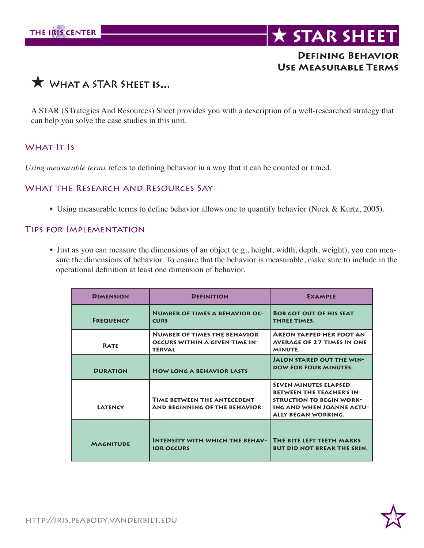

## **\* STAR SHEET**

#### **Defining Behavior Use Measurable Terms**



A STAR (STrategies And Resources) Sheet provides you with a description of a well-researched strategy that can help you solve the case studies in this unit.

#### WHAT **IT Is**

*Using measurable terms* refers to defining behavior in a way that it can be counted or timed.

#### WHAT THE RESEARCH AND RESOURCES SAY

• Using measurable terms to define behavior allows one to quantify behavior (Nock & Kurtz, 2005).

#### Tips for Implementation

• Just as you can measure the dimensions of an object (e.g., height, width, depth, weight), you can mea sure the dimensions of behavior. To ensure that the behavior is measurable, make sure to include in the operational definition at least one dimension of behavior.

| <b>DIMENSION</b> | <b>DEFINITION</b>                                                                      | <b>EXAMPLE</b>                                                                                                                                          |
|------------------|----------------------------------------------------------------------------------------|---------------------------------------------------------------------------------------------------------------------------------------------------------|
| <b>FREQUENCY</b> | <b>NUMBER OF TIMES A BEHAVIOR OC-</b><br><b>CURS</b>                                   | <b>BOB GOT OUT OF HIS SEAT</b><br><b>THREE TIMES.</b>                                                                                                   |
| <b>RATE</b>      | <b>NUMBER OF TIMES THE BEHAVIOR</b><br>OCCURS WITHIN A GIVEN TIME IN-<br><b>TERVAL</b> | <b>AREON TAPPED HER FOOT AN</b><br><b>AVERAGE OF 27 TIMES IN ONE</b><br>MINUTE.                                                                         |
| <b>DURATION</b>  | <b>HOW LONG A BEHAVIOR LASTS</b>                                                       | <b>JALON STARED OUT THE WIN-</b><br><b>DOW FOR FOUR MINUTES.</b>                                                                                        |
| LATENCY          | <b>TIME BETWEEN THE ANTECEDENT</b><br>AND BEGINNING OF THE BEHAVIOR                    | <b>SEVEN MINUTES ELAPSED</b><br><b>BETWEEN THE TEACHER'S IN-</b><br><b>STRUCTION TO BEGIN WORK-</b><br>ING AND WHEN JOANNE ACTU-<br>ALLY BEGAN WORKING. |
| <b>MAGNITUDE</b> | <b>INTENSITY WITH WHICH THE BEHAV-</b><br><b>IOR OCCURS</b>                            | THE BITE LEFT TEETH MARKS<br><b>BUT DID NOT BREAK THE SKIN.</b>                                                                                         |

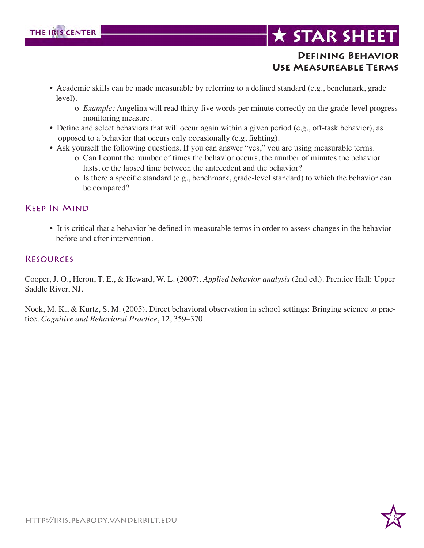

#### **Defining Behavior Use Measureable Terms**

- Academic skills can be made measurable by referring to a defined standard (e.g., benchmark, grade level).
	- o *Example:* Angelina will read thirty-five words per minute correctly on the grade-level progress monitoring measure.
- Define and select behaviors that will occur again within a given period (e.g., off-task behavior), as opposed to a behavior that occurs only occasionally (e.g, fighting).
- Ask yourself the following questions. If you can answer "yes," you are using measurable terms.
	- o Can I count the number of times the behavior occurs, the number of minutes the behavior lasts, or the lapsed time between the antecedent and the behavior?
	- o Is there a specific standard (e.g., benchmark, grade-level standard) to which the behavior can be compared?

#### Keep In Mind

• It is critical that a behavior be defined in measurable terms in order to assess changes in the behavior before and after intervention.

#### **RESOURCES**

Cooper, J. O., Heron, T. E., & Heward, W. L. (2007). *Applied behavior analysis* (2nd ed.). Prentice Hall: Upper Saddle River, NJ.

Nock, M. K., & Kurtz, S. M. (2005). Direct behavioral observation in school settings: Bringing science to practice. *Cognitive and Behavioral Practice*, 12, 359–370.

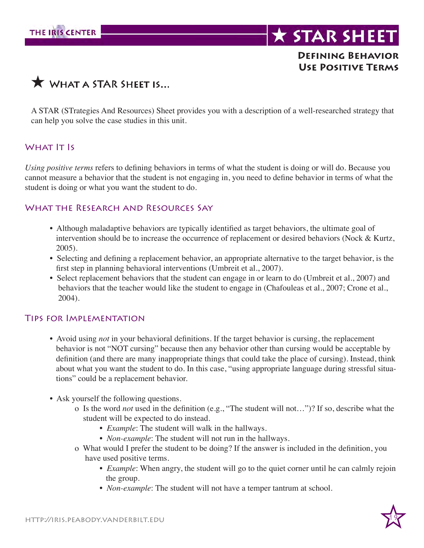

#### **Defining Behavior Use Positive Terms**

### $\bigstar$  WHAT A STAR SHEET IS...

A STAR (STrategies And Resources) Sheet provides you with a description of a well-researched strategy that can help you solve the case studies in this unit.

#### WHAT **IT IS**

*Using positive terms* refers to defining behaviors in terms of what the student is doing or will do. Because you cannot measure a behavior that the student is not engaging in, you need to define behavior in terms of what the student is doing or what you want the student to do.

#### WHAT THE RESEARCH AND RESOURCES SAY

- Although maladaptive behaviors are typically identified as target behaviors, the ultimate goal of intervention should be to increase the occurrence of replacement or desired behaviors (Nock & Kurtz, 2005).
- Selecting and defining a replacement behavior, an appropriate alternative to the target behavior, is the first step in planning behavioral interventions (Umbreit et al., 2007).
- Select replacement behaviors that the student can engage in or learn to do (Umbreit et al., 2007) and behaviors that the teacher would like the student to engage in (Chafouleas et al., 2007; Crone et al., 2004).

#### Tips for Implementation

- Avoid using *not* in your behavioral definitions. If the target behavior is cursing, the replacement behavior is not "NOT cursing" because then any behavior other than cursing would be acceptable by definition (and there are many inappropriate things that could take the place of cursing). Instead, think about what you want the student to do. In this case, "using appropriate language during stressful situa tions" could be a replacement behavior.
- Ask yourself the following questions.
	- o Is the word *not* used in the definition (e.g., "The student will not…")? If so, describe what the student will be expected to do instead.
		- *Example*: The student will walk in the hallways.
		- *Non-example*: The student will not run in the hallways.
	- o What would I prefer the student to be doing? If the answer is included in the definition, you have used positive terms.
		- *Example*: When angry, the student will go to the quiet corner until he can calmly rejoin the group.
		- *Non-example*: The student will not have a temper tantrum at school.

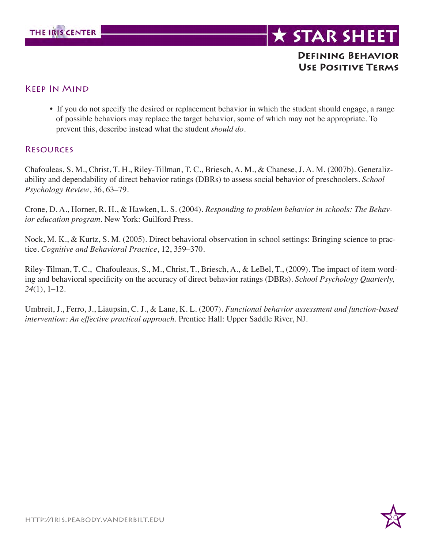

#### **Defining Behavior Use Positive Terms**

#### Keep In Mind

• If you do not specify the desired or replacement behavior in which the student should engage, a range of possible behaviors may replace the target behavior, some of which may not be appropriate. To prevent this, describe instead what the student *should do*.

#### **RESOURCES**

Chafouleas, S. M., Christ, T. H., Riley-Tillman, T. C., Briesch, A. M., & Chanese, J. A. M. (2007b). Generalizability and dependability of direct behavior ratings (DBRs) to assess social behavior of preschoolers. *School Psychology Review*, 36, 63–79.

Crone, D. A., Horner, R. H., & Hawken, L. S. (2004). *Responding to problem behavior in schools: The Behavior education program*. New York: Guilford Press.

Nock, M. K., & Kurtz, S. M. (2005). Direct behavioral observation in school settings: Bringing science to practice. *Cognitive and Behavioral Practice*, 12, 359–370.

Riley-Tilman, T. C., Chafouleaus, S., M., Christ, T., Briesch, A., & LeBel, T., (2009). The impact of item wording and behavioral specificity on the accuracy of direct behavior ratings (DBRs). *School Psychology Quarterly, 24*(1), 1–12.

Umbreit, J., Ferro, J., Liaupsin, C. J., & Lane, K. L. (2007). *Functional behavior assessment and function-based intervention: An effective practical approach*. Prentice Hall: Upper Saddle River, NJ.

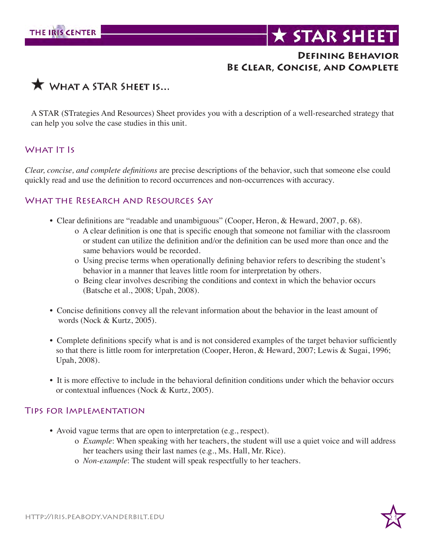#### **Defining Behavior Be Clear, Concise, and Complete**



A STAR (STrategies And Resources) Sheet provides you with a description of a well-researched strategy that can help you solve the case studies in this unit.

#### WHAT **IT IS**

*Clear, concise, and complete definitions* are precise descriptions of the behavior, such that someone else could quickly read and use the definition to record occurrences and non-occurrences with accuracy.

#### WHAT THE RESEARCH AND RESOURCES SAY

- Clear definitions are "readable and unambiguous" (Cooper, Heron, & Heward, 2007, p. 68).
	- o A clear definition is one that is specific enough that someone not familiar with the classroom or student can utilize the definition and/or the definition can be used more than once and the same behaviors would be recorded.
	- o Using precise terms when operationally defining behavior refers to describing the student's behavior in a manner that leaves little room for interpretation by others.
	- o Being clear involves describing the conditions and context in which the behavior occurs (Batsche et al., 2008; Upah, 2008).
- Concise definitions convey all the relevant information about the behavior in the least amount of words (Nock & Kurtz, 2005).
- Complete definitions specify what is and is not considered examples of the target behavior sufficiently so that there is little room for interpretation (Cooper, Heron, & Heward, 2007; Lewis & Sugai, 1996; Upah, 2008).
- It is more effective to include in the behavioral definition conditions under which the behavior occurs or contextual influences (Nock & Kurtz, 2005).

#### Tips for Implementation

- Avoid vague terms that are open to interpretation (e.g., respect).
	- o *Example*: When speaking with her teachers, the student will use a quiet voice and will address her teachers using their last names (e.g., Ms. Hall, Mr. Rice).
	- o *Non-example*: The student will speak respectfully to her teachers.